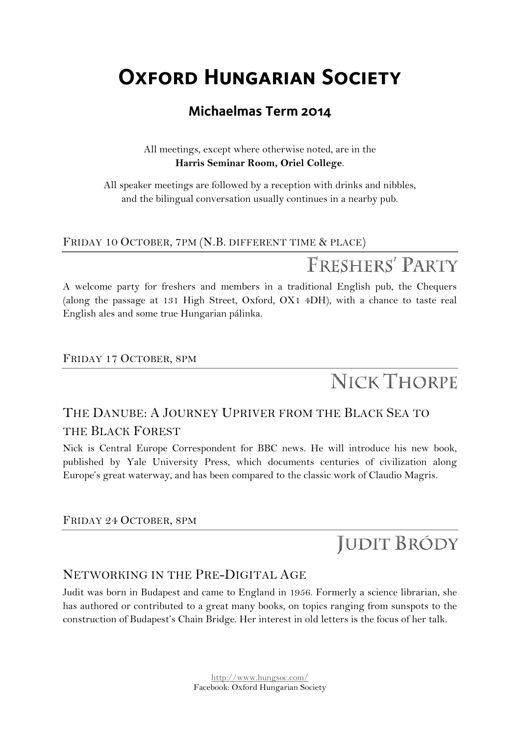## **Oxford Hungarian Society**

### **Michaelmas Term 2014**

All meetings, except where otherwise noted, are in the **Harris Seminar Room, Oriel College**.

All speaker meetings are followed by a reception with drinks and nibbles, and the bilingual conversation usually continues in a nearby pub.

#### FRIDAY 10 OCTOBER, 7PM (N.B. DIFFERENT TIME & PLACE)

## FRESHERS' PARTY

A welcome party for freshers and members in a traditional English pub, the Chequers (along the passage at 131 High Street, Oxford, OX1 4DH), with a chance to taste real English ales and some true Hungarian pálinka.

### FRIDAY 17 OCTOBER, 8PM

# **NICK THORPE**

### THE DANUBE: A JOURNEY UPRIVER FROM THE BLACK SEA TO THE BLACK FOREST

Nick is Central Europe Correspondent for BBC news. He will introduce his new book, published by Yale University Press, which documents centuries of civilization along Europe's great waterway, and has been compared to the classic work of Claudio Magris.

#### FRIDAY 24 OCTOBER, 8PM

### **JUDIT BRÓDY**

### NETWORKING IN THE PRE-DIGITAL AGE

Judit was born in Budapest and came to England in 1956. Formerly a science librarian, she has authored or contributed to a great many books, on topics ranging from sunspots to the construction of Budapest's Chain Bridge. Her interest in old letters is the focus of her talk.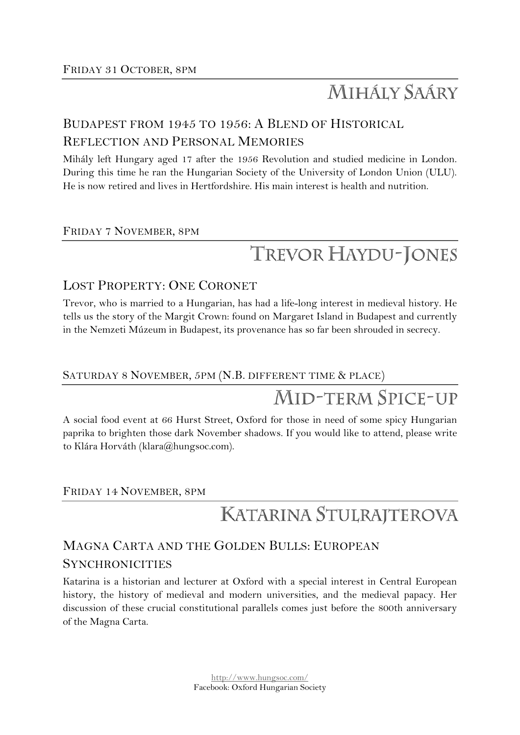## **MIHÁLY SAÁRY**

### BUDAPEST FROM 1945 TO 1956: A BLEND OF HISTORICAL

### REFLECTION AND PERSONAL MEMORIES

Mihály left Hungary aged 17 after the 1956 Revolution and studied medicine in London. During this time he ran the Hungarian Society of the University of London Union (ULU). He is now retired and lives in Hertfordshire. His main interest is health and nutrition.

### FRIDAY 7 NOVEMBER, 8PM

# TREVOR HAYDU-JONES

### LOST PROPERTY: ONE CORONET

Trevor, who is married to a Hungarian, has had a life-long interest in medieval history. He tells us the story of the Margit Crown: found on Margaret Island in Budapest and currently in the Nemzeti Múzeum in Budapest, its provenance has so far been shrouded in secrecy.

#### SATURDAY 8 NOVEMBER, 5PM (N.B. DIFFERENT TIME & PLACE)

## **MID-TERM SPICE-UP**

A social food event at 66 Hurst Street, Oxford for those in need of some spicy Hungarian paprika to brighten those dark November shadows. If you would like to attend, please write to Klára Horváth (klara@hungsoc.com).

#### FRIDAY 14 NOVEMBER, 8PM

### KATARINA STULRAJTEROVA

### MAGNA CARTA AND THE GOLDEN BULLS: EUROPEAN **SYNCHRONICITIES**

Katarina is a historian and lecturer at Oxford with a special interest in Central European history, the history of medieval and modern universities, and the medieval papacy. Her discussion of these crucial constitutional parallels comes just before the 800th anniversary of the Magna Carta.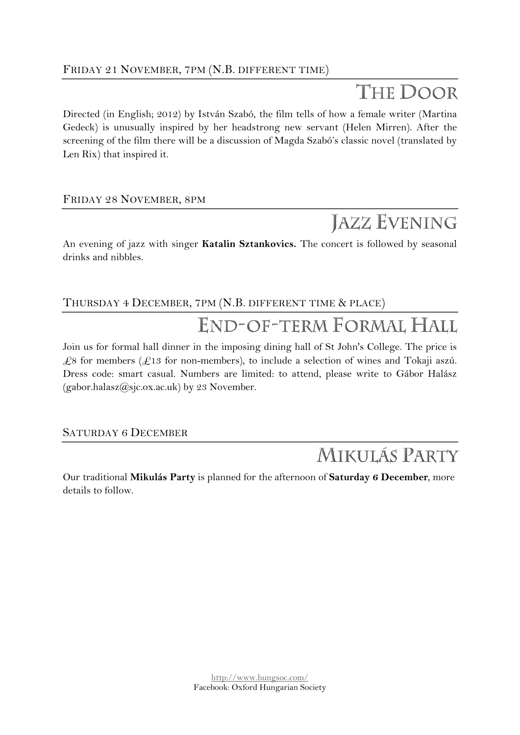## THE DOOR

Directed (in English; 2012) by István Szabó, the film tells of how a female writer (Martina Gedeck) is unusually inspired by her headstrong new servant (Helen Mirren). After the screening of the film there will be a discussion of Magda Szabó's classic novel (translated by Len Rix) that inspired it.

### FRIDAY 28 NOVEMBER, 8PM

## **JAZZ EVENING**

An evening of jazz with singer **Katalin Sztankovics.** The concert is followed by seasonal drinks and nibbles.

### THURSDAY 4 DECEMBER, 7PM (N.B. DIFFERENT TIME & PLACE)

# END-OF-TERM FORMAL HALL

Join us for formal hall dinner in the imposing dining hall of St John's College. The price is  $\text{\textsterling}8$  for members ( $\text{\textsterling}13$  for non-members), to include a selection of wines and Tokaji aszú. Dress code: smart casual. Numbers are limited: to attend, please write to Gábor Halász (gabor.halasz@sjc.ox.ac.uk) by 23 November.

SATURDAY 6 DECEMBER

## MIKULÁS PARTY

Our traditional **Mikulás Party** is planned for the afternoon of **Saturday 6 December**, more details to follow.